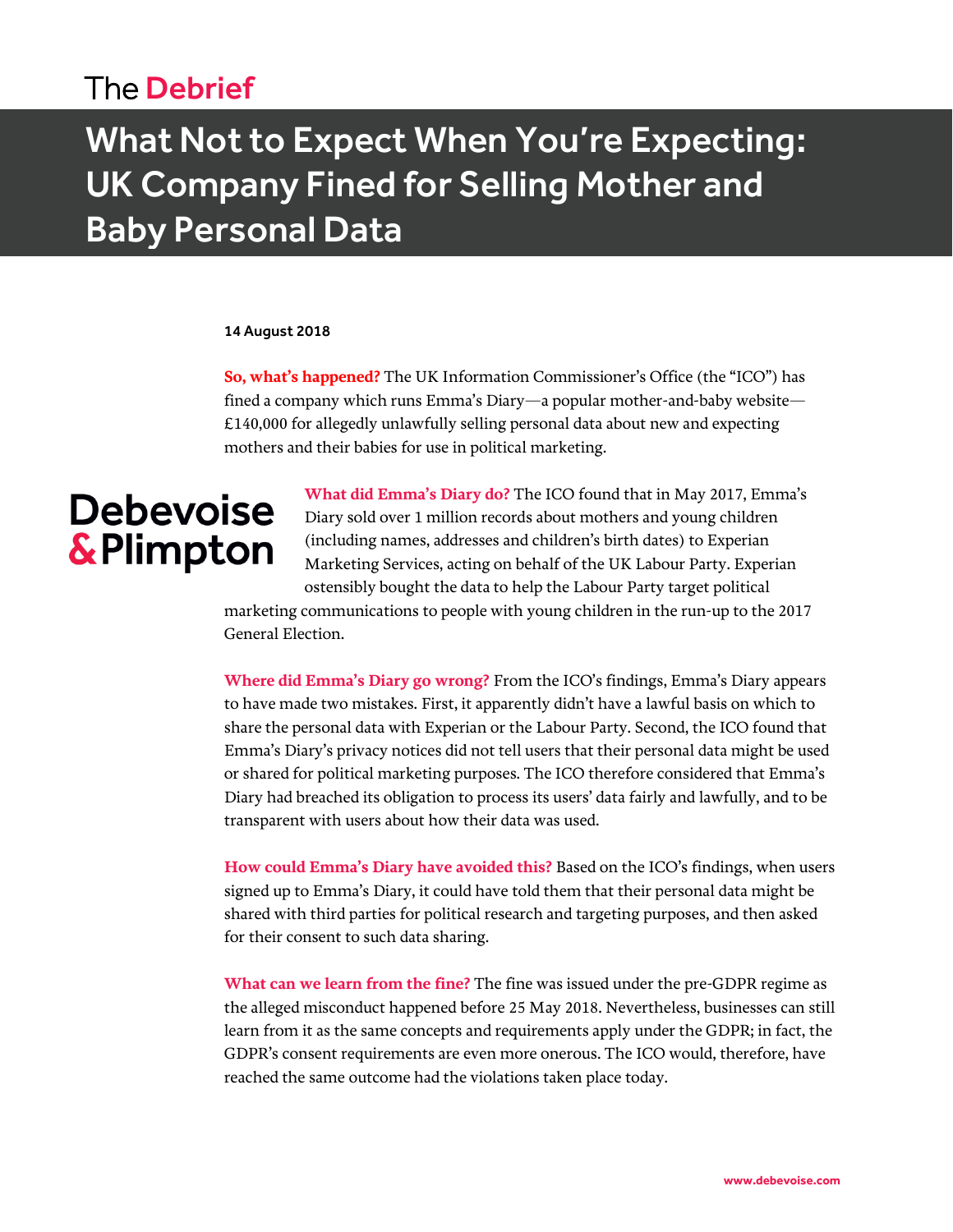## The Debrief

## What Not to Expect When You're Expecting: UK Company Fined for Selling Mother and Baby Personal Data

#### 14 August 2018

**So, what's happened?** The UK Information Commissioner's Office (the "ICO") has fined a company which runs Emma's Diary—a popular mother-and-baby website— £140,000 for allegedly unlawfully selling personal data about new and expecting mothers and their babies for use in political marketing.

# **Debevoise** & Plimpton

**What did Emma's Diary do?** The ICO found that in May 2017, Emma's Diary sold over 1 million records about mothers and young children (including names, addresses and children's birth dates) to Experian Marketing Services, acting on behalf of the UK Labour Party. Experian ostensibly bought the data to help the Labour Party target political

marketing communications to people with young children in the run-up to the 2017 General Election.

**Where did Emma's Diary go wrong?** From the ICO's findings, Emma's Diary appears to have made two mistakes. First, it apparently didn't have a lawful basis on which to share the personal data with Experian or the Labour Party. Second, the ICO found that Emma's Diary's privacy notices did not tell users that their personal data might be used or shared for political marketing purposes. The ICO therefore considered that Emma's Diary had breached its obligation to process its users' data fairly and lawfully, and to be transparent with users about how their data was used.

**How could Emma's Diary have avoided this?** Based on the ICO's findings, when users signed up to Emma's Diary, it could have told them that their personal data might be shared with third parties for political research and targeting purposes, and then asked for their consent to such data sharing.

**What can we learn from the fine?** The fine was issued under the pre-GDPR regime as the alleged misconduct happened before 25 May 2018. Nevertheless, businesses can still learn from it as the same concepts and requirements apply under the GDPR; in fact, the GDPR's consent requirements are even more onerous. The ICO would, therefore, have reached the same outcome had the violations taken place today.